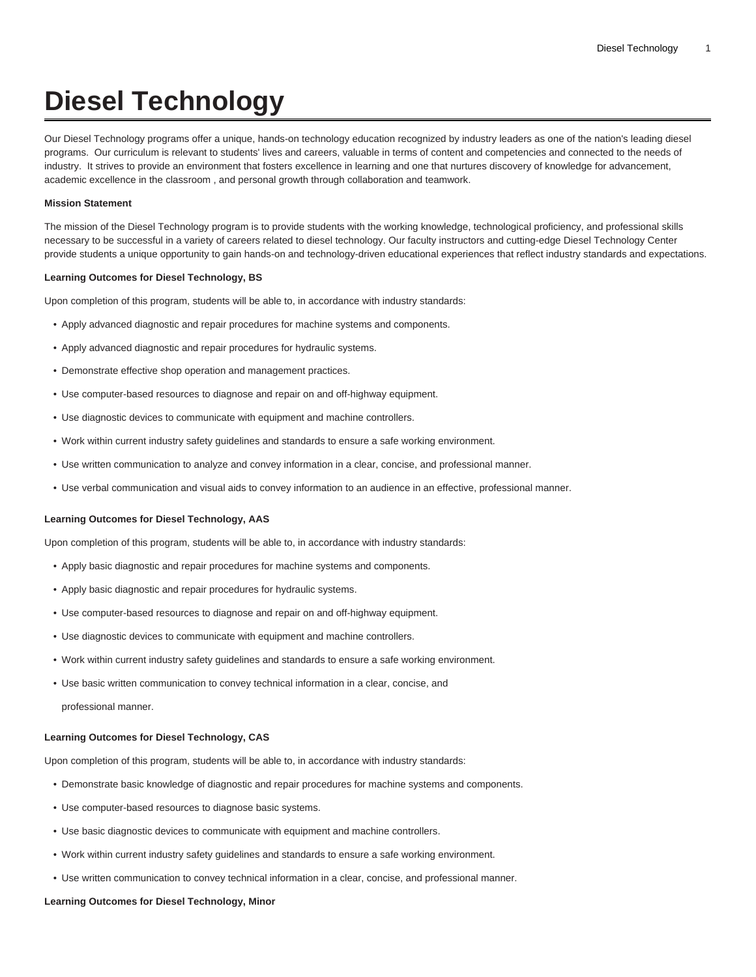# **Diesel Technology**

Our Diesel Technology programs offer a unique, hands-on technology education recognized by industry leaders as one of the nation's leading diesel programs. Our curriculum is relevant to students' lives and careers, valuable in terms of content and competencies and connected to the needs of industry. It strives to provide an environment that fosters excellence in learning and one that nurtures discovery of knowledge for advancement, academic excellence in the classroom , and personal growth through collaboration and teamwork.

#### **Mission Statement**

The mission of the Diesel Technology program is to provide students with the working knowledge, technological proficiency, and professional skills necessary to be successful in a variety of careers related to diesel technology. Our faculty instructors and cutting-edge Diesel Technology Center provide students a unique opportunity to gain hands-on and technology-driven educational experiences that reflect industry standards and expectations.

#### **Learning Outcomes for Diesel Technology, BS**

Upon completion of this program, students will be able to, in accordance with industry standards:

- Apply advanced diagnostic and repair procedures for machine systems and components.
- Apply advanced diagnostic and repair procedures for hydraulic systems.
- Demonstrate effective shop operation and management practices.
- Use computer-based resources to diagnose and repair on and off-highway equipment.
- Use diagnostic devices to communicate with equipment and machine controllers.
- Work within current industry safety guidelines and standards to ensure a safe working environment.
- Use written communication to analyze and convey information in a clear, concise, and professional manner.
- Use verbal communication and visual aids to convey information to an audience in an effective, professional manner.

#### **Learning Outcomes for Diesel Technology, AAS**

Upon completion of this program, students will be able to, in accordance with industry standards:

- Apply basic diagnostic and repair procedures for machine systems and components.
- Apply basic diagnostic and repair procedures for hydraulic systems.
- Use computer-based resources to diagnose and repair on and off-highway equipment.
- Use diagnostic devices to communicate with equipment and machine controllers.
- Work within current industry safety guidelines and standards to ensure a safe working environment.
- Use basic written communication to convey technical information in a clear, concise, and professional manner.

#### **Learning Outcomes for Diesel Technology, CAS**

Upon completion of this program, students will be able to, in accordance with industry standards:

- Demonstrate basic knowledge of diagnostic and repair procedures for machine systems and components.
- Use computer-based resources to diagnose basic systems.
- Use basic diagnostic devices to communicate with equipment and machine controllers.
- Work within current industry safety guidelines and standards to ensure a safe working environment.
- Use written communication to convey technical information in a clear, concise, and professional manner.

#### **Learning Outcomes for Diesel Technology, Minor**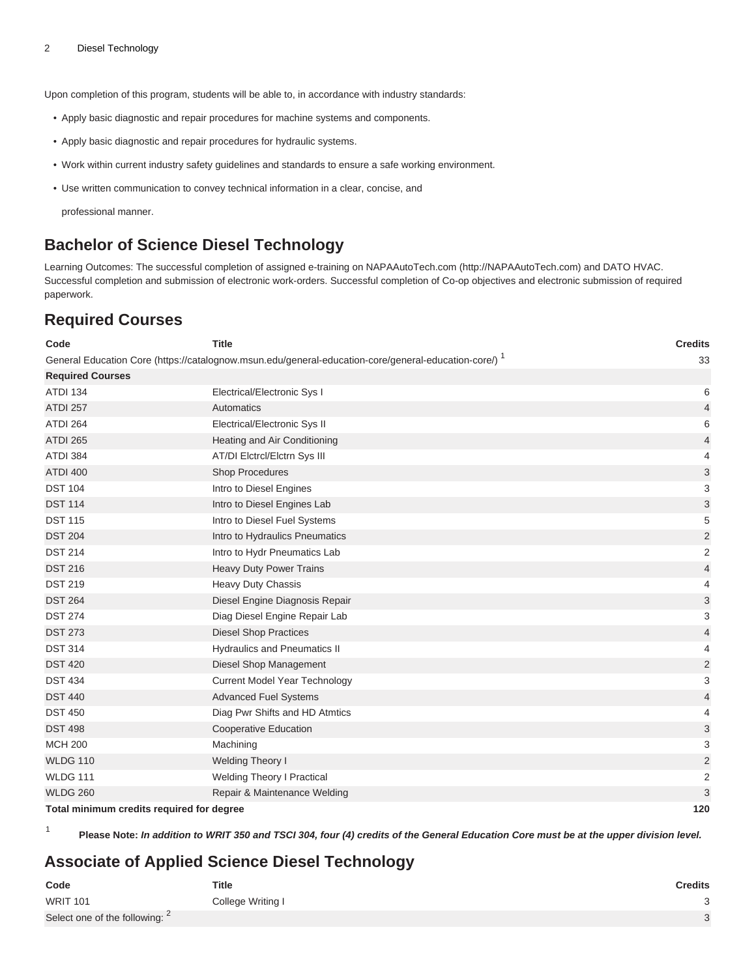Upon completion of this program, students will be able to, in accordance with industry standards:

- Apply basic diagnostic and repair procedures for machine systems and components.
- Apply basic diagnostic and repair procedures for hydraulic systems.
- Work within current industry safety guidelines and standards to ensure a safe working environment.
- Use written communication to convey technical information in a clear, concise, and

professional manner.

## **Bachelor of Science Diesel Technology**

Learning Outcomes: The successful completion of assigned e-training on [NAPAAutoTech.com](http://NAPAAutoTech.com) (<http://NAPAAutoTech.com>) and DATO HVAC. Successful completion and submission of electronic work-orders. Successful completion of Co-op objectives and electronic submission of required paperwork.

## **Required Courses**

| Code                                      | <b>Title</b>                                                                                                     | <b>Credits</b>            |
|-------------------------------------------|------------------------------------------------------------------------------------------------------------------|---------------------------|
|                                           | General Education Core (https://catalognow.msun.edu/general-education-core/general-education-core/) <sup>1</sup> | 33                        |
| <b>Required Courses</b>                   |                                                                                                                  |                           |
| <b>ATDI 134</b>                           | Electrical/Electronic Sys I                                                                                      | 6                         |
| <b>ATDI 257</b>                           | Automatics                                                                                                       | $\overline{4}$            |
| ATDI 264                                  | Electrical/Electronic Sys II                                                                                     | 6                         |
| <b>ATDI 265</b>                           | Heating and Air Conditioning                                                                                     | 4                         |
| <b>ATDI 384</b>                           | AT/DI Elctrcl/Elctrn Sys III                                                                                     | $\overline{4}$            |
| <b>ATDI 400</b>                           | Shop Procedures                                                                                                  | 3                         |
| <b>DST 104</b>                            | Intro to Diesel Engines                                                                                          | $\ensuremath{\mathsf{3}}$ |
| <b>DST 114</b>                            | Intro to Diesel Engines Lab                                                                                      | 3                         |
| <b>DST 115</b>                            | Intro to Diesel Fuel Systems                                                                                     | 5                         |
| <b>DST 204</b>                            | Intro to Hydraulics Pneumatics                                                                                   | $\overline{2}$            |
| <b>DST 214</b>                            | Intro to Hydr Pneumatics Lab                                                                                     | $\sqrt{2}$                |
| <b>DST 216</b>                            | Heavy Duty Power Trains                                                                                          | $\overline{4}$            |
| <b>DST 219</b>                            | <b>Heavy Duty Chassis</b>                                                                                        | $\overline{4}$            |
| <b>DST 264</b>                            | Diesel Engine Diagnosis Repair                                                                                   | 3                         |
| <b>DST 274</b>                            | Diag Diesel Engine Repair Lab                                                                                    | 3                         |
| <b>DST 273</b>                            | <b>Diesel Shop Practices</b>                                                                                     | $\overline{4}$            |
| <b>DST 314</b>                            | <b>Hydraulics and Pneumatics II</b>                                                                              | $\overline{4}$            |
| <b>DST 420</b>                            | Diesel Shop Management                                                                                           | $\overline{2}$            |
| <b>DST 434</b>                            | <b>Current Model Year Technology</b>                                                                             | 3                         |
| <b>DST 440</b>                            | <b>Advanced Fuel Systems</b>                                                                                     | $\overline{4}$            |
| <b>DST 450</b>                            | Diag Pwr Shifts and HD Atmtics                                                                                   | 4                         |
| <b>DST 498</b>                            | <b>Cooperative Education</b>                                                                                     | 3                         |
| <b>MCH 200</b>                            | Machining                                                                                                        | $\ensuremath{\mathsf{3}}$ |
| <b>WLDG 110</b>                           | <b>Welding Theory I</b>                                                                                          | $\mathbf 2$               |
| <b>WLDG 111</b>                           | <b>Welding Theory I Practical</b>                                                                                | $\mathbf 2$               |
| <b>WLDG 260</b>                           | Repair & Maintenance Welding                                                                                     | 3                         |
| Total minimum credits required for degree |                                                                                                                  | 120                       |

1 **Please Note: In addition to WRIT 350 and TSCI 304, four (4) credits of the General Education Core must be at the upper division level.**

## **Associate of Applied Science Diesel Technology**

| Code                           | Title             | <b>Credits</b> |
|--------------------------------|-------------------|----------------|
| <b>WRIT 101</b>                | College Writing I |                |
| Select one of the following: 2 |                   |                |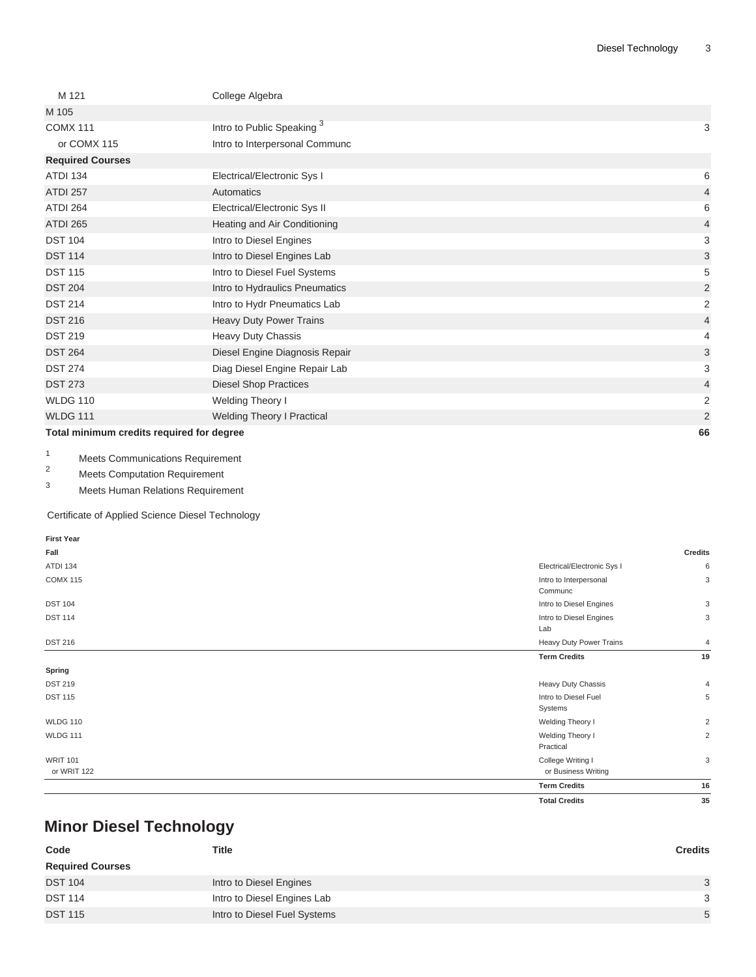| M 121                                     | College Algebra                       |                |
|-------------------------------------------|---------------------------------------|----------------|
| M 105                                     |                                       |                |
| <b>COMX 111</b>                           | Intro to Public Speaking <sup>3</sup> | 3              |
| or COMX 115                               | Intro to Interpersonal Communc        |                |
| <b>Required Courses</b>                   |                                       |                |
| <b>ATDI 134</b>                           | Electrical/Electronic Sys I           | 6              |
| <b>ATDI 257</b>                           | Automatics                            | $\overline{4}$ |
| ATDI 264                                  | Electrical/Electronic Sys II          | 6              |
| <b>ATDI 265</b>                           | Heating and Air Conditioning          | $\overline{4}$ |
| <b>DST 104</b>                            | Intro to Diesel Engines               | 3              |
| <b>DST 114</b>                            | Intro to Diesel Engines Lab           | 3              |
| <b>DST 115</b>                            | Intro to Diesel Fuel Systems          | 5              |
| <b>DST 204</b>                            | Intro to Hydraulics Pneumatics        | $\overline{2}$ |
| <b>DST 214</b>                            | Intro to Hydr Pneumatics Lab          | $\overline{2}$ |
| <b>DST 216</b>                            | Heavy Duty Power Trains               | $\overline{4}$ |
| <b>DST 219</b>                            | Heavy Duty Chassis                    | 4              |
| <b>DST 264</b>                            | Diesel Engine Diagnosis Repair        | 3              |
| <b>DST 274</b>                            | Diag Diesel Engine Repair Lab         | 3              |
| <b>DST 273</b>                            | <b>Diesel Shop Practices</b>          | $\overline{4}$ |
| <b>WLDG 110</b>                           | Welding Theory I                      | $\overline{c}$ |
| <b>WLDG 111</b>                           | <b>Welding Theory I Practical</b>     | $\overline{2}$ |
| Total minimum credits required for degree |                                       | 66             |

1 Meets Communications Requirement

 $2^2$  Meets Computation Requirement

Meets Human Relations Requirement

Certificate of Applied Science Diesel Technology

| <b>First Year</b>              |                                          |                |
|--------------------------------|------------------------------------------|----------------|
| Fall                           |                                          | <b>Credits</b> |
| ATDI 134                       | Electrical/Electronic Sys I              | 6              |
| <b>COMX 115</b>                | Intro to Interpersonal<br>Communc        | 3              |
| <b>DST 104</b>                 | Intro to Diesel Engines                  | 3              |
| <b>DST 114</b>                 | Intro to Diesel Engines<br>Lab           | 3              |
| <b>DST 216</b>                 | Heavy Duty Power Trains                  | 4              |
|                                | <b>Term Credits</b>                      | 19             |
| Spring                         |                                          |                |
| <b>DST 219</b>                 | Heavy Duty Chassis                       | $\overline{4}$ |
| <b>DST 115</b>                 | Intro to Diesel Fuel<br>Systems          | 5              |
| <b>WLDG 110</b>                | Welding Theory I                         | $\overline{c}$ |
| <b>WLDG 111</b>                | Welding Theory I<br>Practical            | 2              |
| <b>WRIT 101</b><br>or WRIT 122 | College Writing I<br>or Business Writing | 3              |
|                                | <b>Term Credits</b>                      | 16             |
|                                | <b>Total Credits</b>                     | 35             |

## **Minor Diesel Technology**

| Code                    | <b>Title</b>                 | <b>Credits</b> |
|-------------------------|------------------------------|----------------|
| <b>Required Courses</b> |                              |                |
| <b>DST 104</b>          | Intro to Diesel Engines      | 3              |
| <b>DST 114</b>          | Intro to Diesel Engines Lab  | 3              |
| <b>DST 115</b>          | Intro to Diesel Fuel Systems | 5              |